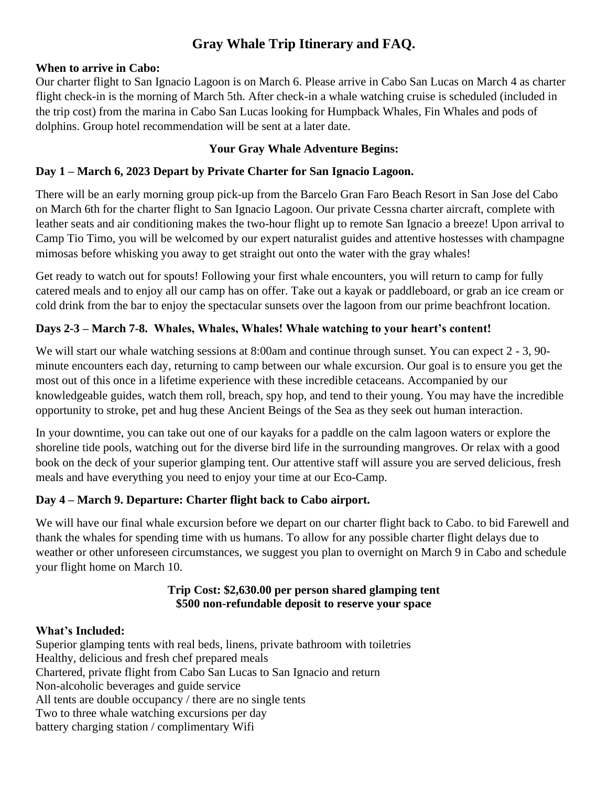# **Gray Whale Trip Itinerary and FAQ.**

## **When to arrive in Cabo:**

Our charter flight to San Ignacio Lagoon is on March 6. Please arrive in Cabo San Lucas on March 4 as charter flight check-in is the morning of March 5th. After check-in a whale watching cruise is scheduled (included in the trip cost) from the marina in Cabo San Lucas looking for Humpback Whales, Fin Whales and pods of dolphins. Group hotel recommendation will be sent at a later date.

# **Your Gray Whale Adventure Begins:**

# **Day 1 – March 6, 2023 Depart by Private Charter for San Ignacio Lagoon.**

There will be an early morning group pick-up from the Barcelo Gran Faro Beach Resort in San Jose del Cabo on March 6th for the charter flight to San Ignacio Lagoon. Our private Cessna charter aircraft, complete with leather seats and air conditioning makes the two-hour flight up to remote San Ignacio a breeze! Upon arrival to Camp Tio Timo, you will be welcomed by our expert naturalist guides and attentive hostesses with champagne mimosas before whisking you away to get straight out onto the water with the gray whales!

Get ready to watch out for spouts! Following your first whale encounters, you will return to camp for fully catered meals and to enjoy all our camp has on offer. Take out a kayak or paddleboard, or grab an ice cream or cold drink from the bar to enjoy the spectacular sunsets over the lagoon from our prime beachfront location.

# **Days 2-3 – March 7-8. Whales, Whales, Whales! Whale watching to your heart's content!**

We will start our whale watching sessions at 8:00am and continue through sunset. You can expect 2 - 3, 90minute encounters each day, returning to camp between our whale excursion. Our goal is to ensure you get the most out of this once in a lifetime experience with these incredible cetaceans. Accompanied by our knowledgeable guides, watch them roll, breach, spy hop, and tend to their young. You may have the incredible opportunity to stroke, pet and hug these Ancient Beings of the Sea as they seek out human interaction.

In your downtime, you can take out one of our kayaks for a paddle on the calm lagoon waters or explore the shoreline tide pools, watching out for the diverse bird life in the surrounding mangroves. Or relax with a good book on the deck of your superior glamping tent. Our attentive staff will assure you are served delicious, fresh meals and have everything you need to enjoy your time at our Eco-Camp.

# **Day 4 – March 9. Departure: Charter flight back to Cabo airport.**

We will have our final whale excursion before we depart on our charter flight back to Cabo. to bid Farewell and thank the whales for spending time with us humans. To allow for any possible charter flight delays due to weather or other unforeseen circumstances, we suggest you plan to overnight on March 9 in Cabo and schedule your flight home on March 10.

## **Trip Cost: \$2,630.00 per person shared glamping tent \$500 non-refundable deposit to reserve your space**

# **What's Included:**

Superior glamping tents with real beds, linens, private bathroom with toiletries Healthy, delicious and fresh chef prepared meals Chartered, private flight from Cabo San Lucas to San Ignacio and return Non-alcoholic beverages and guide service All tents are double occupancy / there are no single tents Two to three whale watching excursions per day battery charging station / complimentary Wifi